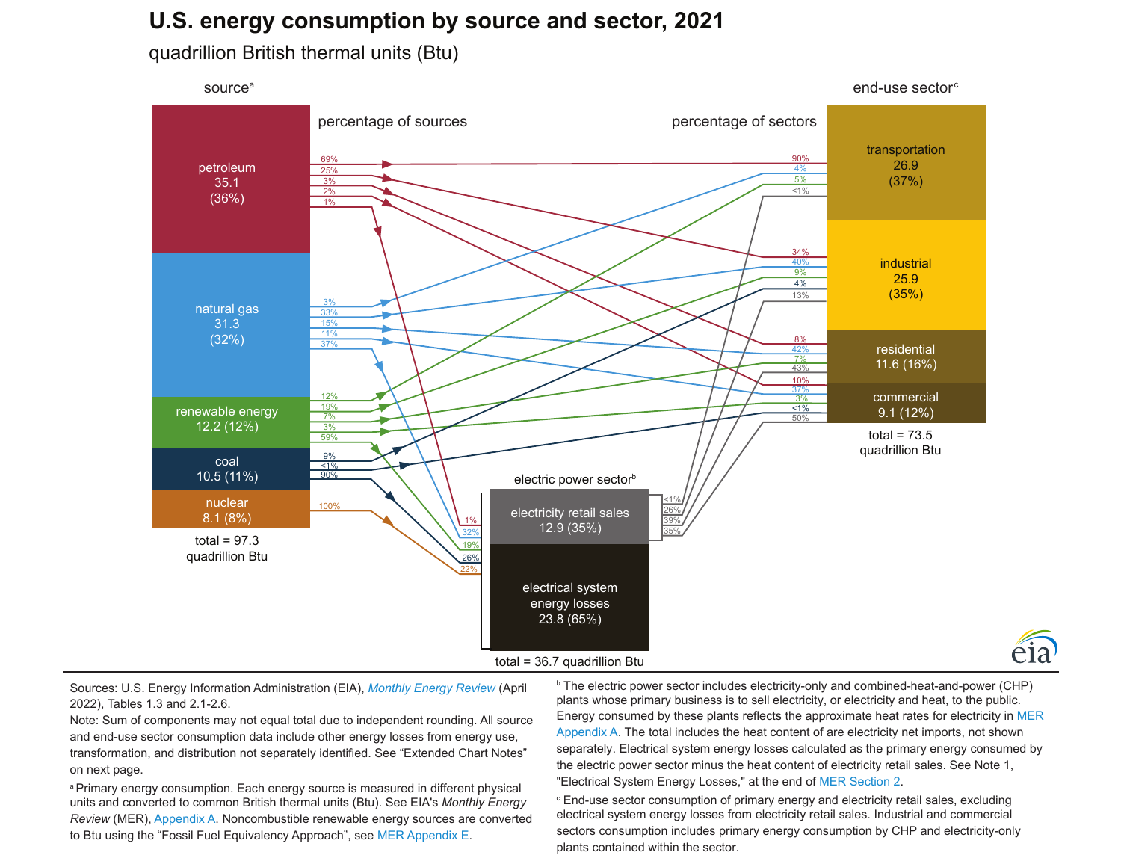# **U.S. energy consumption by source and sector, 2021**

quadrillion British thermal units (Btu)



Sources: U.S. Energy Information Administration (EIA), *[Monthly Energy Review](https://www.eia.gov/totalenergy/data/monthly/)* (April 2022), Tables 1.3 and 2.1-2.6.

Note: Sum of components may not equal total due to independent rounding. All source and end-use sector consumption data include other energy losses from energy use, transformation, and distribution not separately identified. See "Extended Chart Notes" on next page.

a Primary energy consumption. Each energy source is measured in different physical units and converted to common British thermal units (Btu). See EIA's *Monthly Energy Review* (MER), [Appendix A](https://www.eia.gov/totalenergy/data/monthly/pdf/mer_a.pdf). Noncombustible renewable energy sources are converted to Btu using the "Fossil Fuel Equivalency Approach", see [MER Appendix E](https://www.eia.gov/totalenergy/data/monthly/pdf/mer_e.pdf).

<sup>b</sup> The electric power sector includes electricity-only and combined-heat-and-power (CHP) plants whose primary business is to sell electricity, or electricity and heat, to the public. Energy consumed by these plants reflects the approximate heat rates for electricity in [MER](https://www.eia.gov/totalenergy/data/monthly/pdf/mer_a.pdf) Appendix  $A$ . The total includes the heat content of are electricity net imports, not shown separately. Electrical system energy losses calculated as the primary energy consumed by the electric power sector minus the heat content of electricity retail sales. See Note 1, "Electrical System Energy Losses," at the end of [MER Section 2](https://www.eia.gov/totalenergy/data/monthly/pdf/sec2_n.pdf).

éia

**End-use sector consumption of primary energy and electricity retail sales, excluding** electrical system energy losses from electricity retail sales. Industrial and commercial sectors consumption includes primary energy consumption by CHP and electricity-only plants contained within the sector.